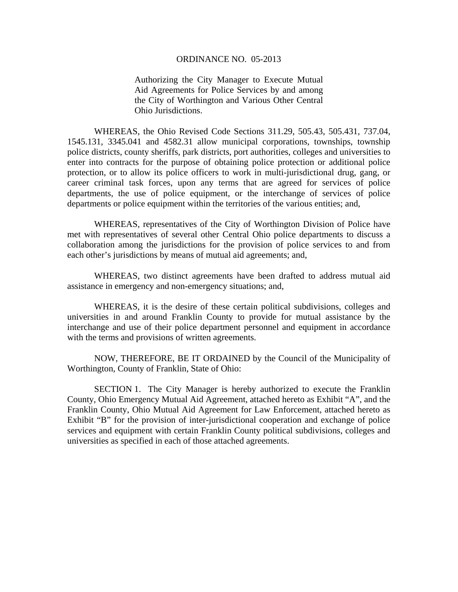## ORDINANCE NO. 05-2013

Authorizing the City Manager to Execute Mutual Aid Agreements for Police Services by and among the City of Worthington and Various Other Central Ohio Jurisdictions.

WHEREAS, the Ohio Revised Code Sections 311.29, 505.43, 505.431, 737.04, 1545.131, 3345.041 and 4582.31 allow municipal corporations, townships, township police districts, county sheriffs, park districts, port authorities, colleges and universities to enter into contracts for the purpose of obtaining police protection or additional police protection, or to allow its police officers to work in multi-jurisdictional drug, gang, or career criminal task forces, upon any terms that are agreed for services of police departments, the use of police equipment, or the interchange of services of police departments or police equipment within the territories of the various entities; and,

WHEREAS, representatives of the City of Worthington Division of Police have met with representatives of several other Central Ohio police departments to discuss a collaboration among the jurisdictions for the provision of police services to and from each other's jurisdictions by means of mutual aid agreements; and,

WHEREAS, two distinct agreements have been drafted to address mutual aid assistance in emergency and non-emergency situations; and,

WHEREAS, it is the desire of these certain political subdivisions, colleges and universities in and around Franklin County to provide for mutual assistance by the interchange and use of their police department personnel and equipment in accordance with the terms and provisions of written agreements.

NOW, THEREFORE, BE IT ORDAINED by the Council of the Municipality of Worthington, County of Franklin, State of Ohio:

SECTION 1. The City Manager is hereby authorized to execute the Franklin County, Ohio Emergency Mutual Aid Agreement, attached hereto as Exhibit "A", and the Franklin County, Ohio Mutual Aid Agreement for Law Enforcement, attached hereto as Exhibit "B" for the provision of inter-jurisdictional cooperation and exchange of police services and equipment with certain Franklin County political subdivisions, colleges and universities as specified in each of those attached agreements.